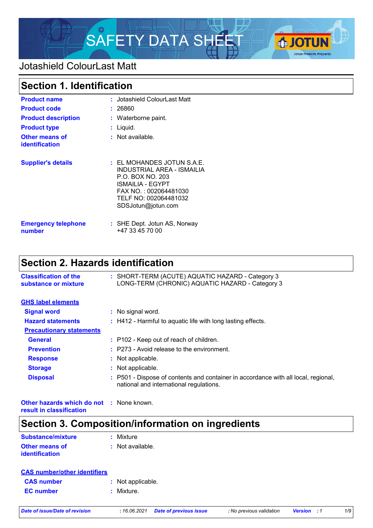

### Jotashield ColourLast Matt

# **Section 1. Identification**

| <b>Product name</b>                            | : Jotashield ColourLast Matt                                                                                                                                               |
|------------------------------------------------|----------------------------------------------------------------------------------------------------------------------------------------------------------------------------|
| <b>Product code</b>                            | : 26860                                                                                                                                                                    |
| <b>Product description</b>                     | : Waterborne paint.                                                                                                                                                        |
| <b>Product type</b>                            | $:$ Liquid.                                                                                                                                                                |
| <b>Other means of</b><br><b>identification</b> | $:$ Not available.                                                                                                                                                         |
| <b>Supplier's details</b>                      | $:$ EL MOHANDES JOTUN S.A.E.<br>INDUSTRIAL AREA - ISMAILIA<br>P.O. BOX NO. 203<br>ISMAILIA - EGYPT<br>FAX NO.: 002064481030<br>TELF NO: 002064481032<br>SDSJotun@jotun.com |
| <b>Emergency telephone</b><br>number           | : SHE Dept. Jotun AS, Norway<br>+47 33 45 70 00                                                                                                                            |

# **Section 2. Hazards identification**

| <b>Classification of the</b><br>substance or mixture | : SHORT-TERM (ACUTE) AQUATIC HAZARD - Category 3<br>LONG-TERM (CHRONIC) AQUATIC HAZARD - Category 3                           |  |
|------------------------------------------------------|-------------------------------------------------------------------------------------------------------------------------------|--|
| <b>GHS label elements</b>                            |                                                                                                                               |  |
| <b>Signal word</b>                                   | : No signal word.                                                                                                             |  |
| <b>Hazard statements</b>                             | : H412 - Harmful to aquatic life with long lasting effects.                                                                   |  |
| <b>Precautionary statements</b>                      |                                                                                                                               |  |
| <b>General</b>                                       | : P102 - Keep out of reach of children.                                                                                       |  |
| <b>Prevention</b>                                    | $:$ P273 - Avoid release to the environment.                                                                                  |  |
| <b>Response</b>                                      | : Not applicable.                                                                                                             |  |
| <b>Storage</b>                                       | : Not applicable.                                                                                                             |  |
| <b>Disposal</b>                                      | : P501 - Dispose of contents and container in accordance with all local, regional,<br>national and international regulations. |  |

**Other hazards which do not :** None known. **result in classification**

## **Section 3. Composition/information on ingredients**

| Substance/mixture                       | : Mixture        |
|-----------------------------------------|------------------|
| <b>Other means of</b><br>identification | : Not available. |

| : Not applicable. |  |  |
|-------------------|--|--|
| : Mixture.        |  |  |
|                   |  |  |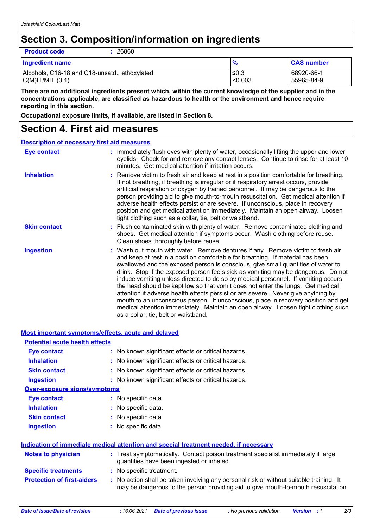### **Section 3. Composition/information on ingredients**

**Product code :** 26860

| <b>Ingredient name</b>                        | $\frac{9}{6}$ | <b>CAS number</b> |
|-----------------------------------------------|---------------|-------------------|
| Alcohols, C16-18 and C18-unsatd., ethoxylated | ≤0.3          | 68920-66-1        |
| C(M) T/MIT (3:1)                              | < 0.003       | 55965-84-9        |

**There are no additional ingredients present which, within the current knowledge of the supplier and in the concentrations applicable, are classified as hazardous to health or the environment and hence require reporting in this section.**

**Occupational exposure limits, if available, are listed in Section 8.**

### **Section 4. First aid measures**

| <b>Description of necessary first aid measures</b> |                                                                                                                                                                                                                                                                                                                                                                                                                                                                                                                                                                                                                                                                                                                                                                                                                              |
|----------------------------------------------------|------------------------------------------------------------------------------------------------------------------------------------------------------------------------------------------------------------------------------------------------------------------------------------------------------------------------------------------------------------------------------------------------------------------------------------------------------------------------------------------------------------------------------------------------------------------------------------------------------------------------------------------------------------------------------------------------------------------------------------------------------------------------------------------------------------------------------|
| <b>Eye contact</b>                                 | : Immediately flush eyes with plenty of water, occasionally lifting the upper and lower<br>eyelids. Check for and remove any contact lenses. Continue to rinse for at least 10<br>minutes. Get medical attention if irritation occurs.                                                                                                                                                                                                                                                                                                                                                                                                                                                                                                                                                                                       |
| <b>Inhalation</b>                                  | : Remove victim to fresh air and keep at rest in a position comfortable for breathing.<br>If not breathing, if breathing is irregular or if respiratory arrest occurs, provide<br>artificial respiration or oxygen by trained personnel. It may be dangerous to the<br>person providing aid to give mouth-to-mouth resuscitation. Get medical attention if<br>adverse health effects persist or are severe. If unconscious, place in recovery<br>position and get medical attention immediately. Maintain an open airway. Loosen<br>tight clothing such as a collar, tie, belt or waistband.                                                                                                                                                                                                                                 |
| <b>Skin contact</b>                                | : Flush contaminated skin with plenty of water. Remove contaminated clothing and<br>shoes. Get medical attention if symptoms occur. Wash clothing before reuse.<br>Clean shoes thoroughly before reuse.                                                                                                                                                                                                                                                                                                                                                                                                                                                                                                                                                                                                                      |
| <b>Ingestion</b>                                   | : Wash out mouth with water. Remove dentures if any. Remove victim to fresh air<br>and keep at rest in a position comfortable for breathing. If material has been<br>swallowed and the exposed person is conscious, give small quantities of water to<br>drink. Stop if the exposed person feels sick as vomiting may be dangerous. Do not<br>induce vomiting unless directed to do so by medical personnel. If vomiting occurs,<br>the head should be kept low so that vomit does not enter the lungs. Get medical<br>attention if adverse health effects persist or are severe. Never give anything by<br>mouth to an unconscious person. If unconscious, place in recovery position and get<br>medical attention immediately. Maintain an open airway. Loosen tight clothing such<br>as a collar, tie, belt or waistband. |

| Most important symptoms/effects, acute and delayed |                                                                                                                                                                               |
|----------------------------------------------------|-------------------------------------------------------------------------------------------------------------------------------------------------------------------------------|
| <b>Potential acute health effects</b>              |                                                                                                                                                                               |
| <b>Eye contact</b>                                 | : No known significant effects or critical hazards.                                                                                                                           |
| <b>Inhalation</b>                                  | : No known significant effects or critical hazards.                                                                                                                           |
| <b>Skin contact</b>                                | : No known significant effects or critical hazards.                                                                                                                           |
| <b>Ingestion</b>                                   | : No known significant effects or critical hazards.                                                                                                                           |
| <b>Over-exposure signs/symptoms</b>                |                                                                                                                                                                               |
| <b>Eye contact</b>                                 | : No specific data.                                                                                                                                                           |
| <b>Inhalation</b>                                  | : No specific data.                                                                                                                                                           |
| <b>Skin contact</b>                                | : No specific data.                                                                                                                                                           |
| <b>Ingestion</b>                                   | : No specific data.                                                                                                                                                           |
|                                                    | Indication of immediate medical attention and special treatment needed, if necessary                                                                                          |
| <b>Notes to physician</b>                          | : Treat symptomatically. Contact poison treatment specialist immediately if large<br>quantities have been ingested or inhaled.                                                |
| <b>Specific treatments</b>                         | : No specific treatment.                                                                                                                                                      |
| <b>Protection of first-aiders</b>                  | : No action shall be taken involving any personal risk or without suitable training. It<br>may be dangerous to the person providing aid to give mouth-to-mouth resuscitation. |
|                                                    |                                                                                                                                                                               |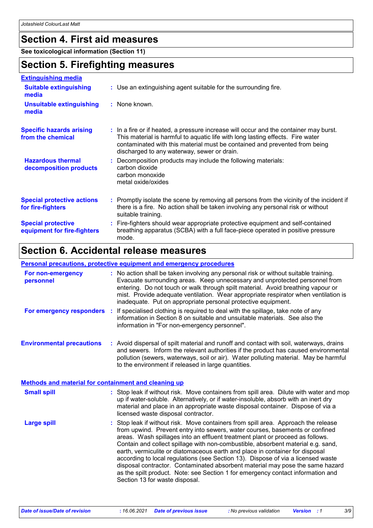## **Section 4. First aid measures**

**See toxicological information (Section 11)**

### **Section 5. Firefighting measures**

| <b>Extinguishing media</b>                               |                                                                                                                                                                                                                                                                                                      |
|----------------------------------------------------------|------------------------------------------------------------------------------------------------------------------------------------------------------------------------------------------------------------------------------------------------------------------------------------------------------|
| <b>Suitable extinguishing</b><br>media                   | : Use an extinguishing agent suitable for the surrounding fire.                                                                                                                                                                                                                                      |
| <b>Unsuitable extinguishing</b><br>media                 | : None known.                                                                                                                                                                                                                                                                                        |
| <b>Specific hazards arising</b><br>from the chemical     | : In a fire or if heated, a pressure increase will occur and the container may burst.<br>This material is harmful to aquatic life with long lasting effects. Fire water<br>contaminated with this material must be contained and prevented from being<br>discharged to any waterway, sewer or drain. |
| <b>Hazardous thermal</b><br>decomposition products       | : Decomposition products may include the following materials:<br>carbon dioxide<br>carbon monoxide<br>metal oxide/oxides                                                                                                                                                                             |
| <b>Special protective actions</b><br>for fire-fighters   | : Promptly isolate the scene by removing all persons from the vicinity of the incident if<br>there is a fire. No action shall be taken involving any personal risk or without<br>suitable training.                                                                                                  |
| <b>Special protective</b><br>equipment for fire-fighters | : Fire-fighters should wear appropriate protective equipment and self-contained<br>breathing apparatus (SCBA) with a full face-piece operated in positive pressure<br>mode.                                                                                                                          |

### **Section 6. Accidental release measures**

#### **Personal precautions, protective equipment and emergency procedures**

| For non-emergency<br>personnel                       | : No action shall be taken involving any personal risk or without suitable training.<br>Evacuate surrounding areas. Keep unnecessary and unprotected personnel from<br>entering. Do not touch or walk through spilt material. Avoid breathing vapour or<br>mist. Provide adequate ventilation. Wear appropriate respirator when ventilation is<br>inadequate. Put on appropriate personal protective equipment.                                                                                                                                                                                                                                                                                                   |
|------------------------------------------------------|-------------------------------------------------------------------------------------------------------------------------------------------------------------------------------------------------------------------------------------------------------------------------------------------------------------------------------------------------------------------------------------------------------------------------------------------------------------------------------------------------------------------------------------------------------------------------------------------------------------------------------------------------------------------------------------------------------------------|
| <b>For emergency responders :</b>                    | If specialised clothing is required to deal with the spillage, take note of any<br>information in Section 8 on suitable and unsuitable materials. See also the<br>information in "For non-emergency personnel".                                                                                                                                                                                                                                                                                                                                                                                                                                                                                                   |
| <b>Environmental precautions</b>                     | : Avoid dispersal of spilt material and runoff and contact with soil, waterways, drains<br>and sewers. Inform the relevant authorities if the product has caused environmental<br>pollution (sewers, waterways, soil or air). Water polluting material. May be harmful<br>to the environment if released in large quantities.                                                                                                                                                                                                                                                                                                                                                                                     |
| Methods and material for containment and cleaning up |                                                                                                                                                                                                                                                                                                                                                                                                                                                                                                                                                                                                                                                                                                                   |
| <b>Small spill</b>                                   | : Stop leak if without risk. Move containers from spill area. Dilute with water and mop<br>up if water-soluble. Alternatively, or if water-insoluble, absorb with an inert dry<br>material and place in an appropriate waste disposal container. Dispose of via a<br>licensed waste disposal contractor.                                                                                                                                                                                                                                                                                                                                                                                                          |
| <b>Large spill</b>                                   | : Stop leak if without risk. Move containers from spill area. Approach the release<br>from upwind. Prevent entry into sewers, water courses, basements or confined<br>areas. Wash spillages into an effluent treatment plant or proceed as follows.<br>Contain and collect spillage with non-combustible, absorbent material e.g. sand,<br>earth, vermiculite or diatomaceous earth and place in container for disposal<br>according to local regulations (see Section 13). Dispose of via a licensed waste<br>disposal contractor. Contaminated absorbent material may pose the same hazard<br>as the spilt product. Note: see Section 1 for emergency contact information and<br>Section 13 for waste disposal. |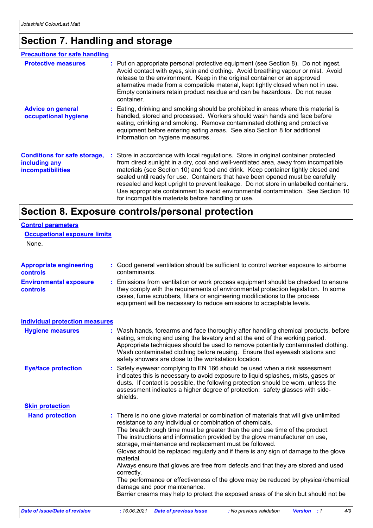# **Section 7. Handling and storage**

| <b>Precautions for safe handling</b>                                      |                                                                                                                                                                                                                                                                                                                                                                                                                                                                                                                                                                                   |
|---------------------------------------------------------------------------|-----------------------------------------------------------------------------------------------------------------------------------------------------------------------------------------------------------------------------------------------------------------------------------------------------------------------------------------------------------------------------------------------------------------------------------------------------------------------------------------------------------------------------------------------------------------------------------|
| <b>Protective measures</b>                                                | : Put on appropriate personal protective equipment (see Section 8). Do not ingest.<br>Avoid contact with eyes, skin and clothing. Avoid breathing vapour or mist. Avoid<br>release to the environment. Keep in the original container or an approved<br>alternative made from a compatible material, kept tightly closed when not in use.<br>Empty containers retain product residue and can be hazardous. Do not reuse<br>container.                                                                                                                                             |
| <b>Advice on general</b><br>occupational hygiene                          | : Eating, drinking and smoking should be prohibited in areas where this material is<br>handled, stored and processed. Workers should wash hands and face before<br>eating, drinking and smoking. Remove contaminated clothing and protective<br>equipment before entering eating areas. See also Section 8 for additional<br>information on hygiene measures.                                                                                                                                                                                                                     |
| <b>Conditions for safe storage,</b><br>including any<br>incompatibilities | Store in accordance with local regulations. Store in original container protected<br>from direct sunlight in a dry, cool and well-ventilated area, away from incompatible<br>materials (see Section 10) and food and drink. Keep container tightly closed and<br>sealed until ready for use. Containers that have been opened must be carefully<br>resealed and kept upright to prevent leakage. Do not store in unlabelled containers.<br>Use appropriate containment to avoid environmental contamination. See Section 10<br>for incompatible materials before handling or use. |

# **Section 8. Exposure controls/personal protection**

| <b>Control parameters</b>                         |                                                                                                                                                                                                                                                                                                                                                                                                                                                                                                                                                                                                                                                                                                                                                                                              |
|---------------------------------------------------|----------------------------------------------------------------------------------------------------------------------------------------------------------------------------------------------------------------------------------------------------------------------------------------------------------------------------------------------------------------------------------------------------------------------------------------------------------------------------------------------------------------------------------------------------------------------------------------------------------------------------------------------------------------------------------------------------------------------------------------------------------------------------------------------|
| <b>Occupational exposure limits</b>               |                                                                                                                                                                                                                                                                                                                                                                                                                                                                                                                                                                                                                                                                                                                                                                                              |
| None.                                             |                                                                                                                                                                                                                                                                                                                                                                                                                                                                                                                                                                                                                                                                                                                                                                                              |
| <b>Appropriate engineering</b><br><b>controls</b> | : Good general ventilation should be sufficient to control worker exposure to airborne<br>contaminants.                                                                                                                                                                                                                                                                                                                                                                                                                                                                                                                                                                                                                                                                                      |
| <b>Environmental exposure</b><br>controls         | : Emissions from ventilation or work process equipment should be checked to ensure<br>they comply with the requirements of environmental protection legislation. In some<br>cases, fume scrubbers, filters or engineering modifications to the process<br>equipment will be necessary to reduce emissions to acceptable levels.                                                                                                                                                                                                                                                                                                                                                                                                                                                              |
| <b>Individual protection measures</b>             |                                                                                                                                                                                                                                                                                                                                                                                                                                                                                                                                                                                                                                                                                                                                                                                              |
| <b>Hygiene measures</b>                           | : Wash hands, forearms and face thoroughly after handling chemical products, before<br>eating, smoking and using the lavatory and at the end of the working period.<br>Appropriate techniques should be used to remove potentially contaminated clothing.<br>Wash contaminated clothing before reusing. Ensure that eyewash stations and<br>safety showers are close to the workstation location.                                                                                                                                                                                                                                                                                                                                                                                            |
| <b>Eye/face protection</b>                        | : Safety eyewear complying to EN 166 should be used when a risk assessment<br>indicates this is necessary to avoid exposure to liquid splashes, mists, gases or<br>dusts. If contact is possible, the following protection should be worn, unless the<br>assessment indicates a higher degree of protection: safety glasses with side-<br>shields.                                                                                                                                                                                                                                                                                                                                                                                                                                           |
| <b>Skin protection</b>                            |                                                                                                                                                                                                                                                                                                                                                                                                                                                                                                                                                                                                                                                                                                                                                                                              |
| <b>Hand protection</b>                            | : There is no one glove material or combination of materials that will give unlimited<br>resistance to any individual or combination of chemicals.<br>The breakthrough time must be greater than the end use time of the product.<br>The instructions and information provided by the glove manufacturer on use,<br>storage, maintenance and replacement must be followed.<br>Gloves should be replaced regularly and if there is any sign of damage to the glove<br>material.<br>Always ensure that gloves are free from defects and that they are stored and used<br>correctly.<br>The performance or effectiveness of the glove may be reduced by physical/chemical<br>damage and poor maintenance.<br>Barrier creams may help to protect the exposed areas of the skin but should not be |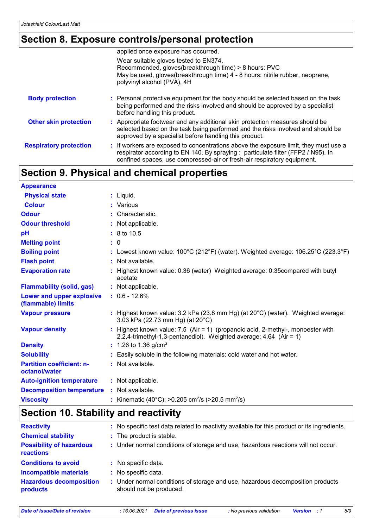### **Section 8. Exposure controls/personal protection**

|                               | applied once exposure has occurred.                                                                                                                                                                                                                  |
|-------------------------------|------------------------------------------------------------------------------------------------------------------------------------------------------------------------------------------------------------------------------------------------------|
|                               | Wear suitable gloves tested to EN374.<br>Recommended, gloves(breakthrough time) > 8 hours: PVC<br>May be used, gloves(breakthrough time) 4 - 8 hours: nitrile rubber, neoprene,<br>polyvinyl alcohol (PVA), 4H                                       |
| <b>Body protection</b>        | : Personal protective equipment for the body should be selected based on the task<br>being performed and the risks involved and should be approved by a specialist<br>before handling this product.                                                  |
| <b>Other skin protection</b>  | : Appropriate footwear and any additional skin protection measures should be<br>selected based on the task being performed and the risks involved and should be<br>approved by a specialist before handling this product.                            |
| <b>Respiratory protection</b> | : If workers are exposed to concentrations above the exposure limit, they must use a<br>respirator according to EN 140. By spraying : particulate filter (FFP2 / N95). In<br>confined spaces, use compressed-air or fresh-air respiratory equipment. |

### **Section 9. Physical and chemical properties**

| <b>Appearance</b>                                 |                                                                                                                                                       |
|---------------------------------------------------|-------------------------------------------------------------------------------------------------------------------------------------------------------|
| <b>Physical state</b>                             | $:$ Liquid.                                                                                                                                           |
| <b>Colour</b>                                     | : Various                                                                                                                                             |
| <b>Odour</b>                                      | : Characteristic.                                                                                                                                     |
| <b>Odour threshold</b>                            | : Not applicable.                                                                                                                                     |
| pH                                                | $: 8 \text{ to } 10.5$                                                                                                                                |
| <b>Melting point</b>                              | : 0                                                                                                                                                   |
| <b>Boiling point</b>                              | : Lowest known value: $100^{\circ}$ C (212°F) (water). Weighted average: $106.25^{\circ}$ C (223.3°F)                                                 |
| <b>Flash point</b>                                | : Not available.                                                                                                                                      |
| <b>Evaporation rate</b>                           | : Highest known value: 0.36 (water) Weighted average: 0.35compared with butyl<br>acetate                                                              |
| <b>Flammability (solid, gas)</b>                  | : Not applicable.                                                                                                                                     |
| Lower and upper explosive<br>(flammable) limits   | $: 0.6 - 12.6%$                                                                                                                                       |
| <b>Vapour pressure</b>                            | : Highest known value: $3.2$ kPa (23.8 mm Hg) (at $20^{\circ}$ C) (water). Weighted average:<br>3.03 kPa (22.73 mm Hg) (at 20°C)                      |
| <b>Vapour density</b>                             | : Highest known value: 7.5 (Air = 1) (propanoic acid, 2-methyl-, monoester with<br>2,2,4-trimethyl-1,3-pentanediol). Weighted average: 4.64 (Air = 1) |
| <b>Density</b>                                    | $: 1.26$ to 1.36 g/cm <sup>3</sup>                                                                                                                    |
| <b>Solubility</b>                                 | : Easily soluble in the following materials: cold water and hot water.                                                                                |
| <b>Partition coefficient: n-</b><br>octanol/water | : Not available.                                                                                                                                      |
| <b>Auto-ignition temperature</b>                  | : Not applicable.                                                                                                                                     |
| <b>Decomposition temperature</b>                  | : Not available.                                                                                                                                      |
| <b>Viscosity</b>                                  | : Kinematic (40°C): >0.205 cm <sup>2</sup> /s (>20.5 mm <sup>2</sup> /s)                                                                              |

## **Section 10. Stability and reactivity**

| <b>Reactivity</b>                            | : No specific test data related to reactivity available for this product or its ingredients.              |
|----------------------------------------------|-----------------------------------------------------------------------------------------------------------|
| <b>Chemical stability</b>                    | : The product is stable.                                                                                  |
| <b>Possibility of hazardous</b><br>reactions | : Under normal conditions of storage and use, hazardous reactions will not occur.                         |
| <b>Conditions to avoid</b>                   | : No specific data.                                                                                       |
| <b>Incompatible materials</b>                | : No specific data.                                                                                       |
| <b>Hazardous decomposition</b><br>products   | : Under normal conditions of storage and use, hazardous decomposition products<br>should not be produced. |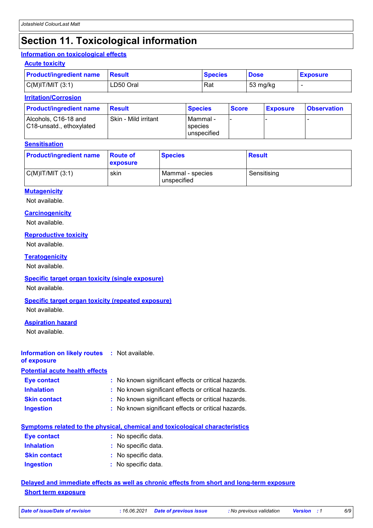## **Section 11. Toxicological information**

#### **Information on toxicological effects**

| <b>Acute toxicity</b>          |                |                |             |                 |
|--------------------------------|----------------|----------------|-------------|-----------------|
| <b>Product/ingredient name</b> | <b>⊩Result</b> | <b>Species</b> | <b>Dose</b> | <b>Exposure</b> |
| $C(M)$ IT/MIT $(3:1)$          | LD50 Oral      | Rat            | 53 mg/kg    |                 |

#### **Irritation/Corrosion**

| <b>Product/ingredient name</b>                   | Result               | <b>Species</b>                              | <b>Score</b> | <b>Exposure</b> | <b>Observation</b> |
|--------------------------------------------------|----------------------|---------------------------------------------|--------------|-----------------|--------------------|
| Alcohols, C16-18 and<br>C18-unsatd., ethoxylated | Skin - Mild irritant | l Mammal -<br>species<br><b>unspecified</b> |              |                 |                    |

#### **Sensitisation**

| <b>Product/ingredient name</b> | <b>Route of</b><br>exposure | <b>Species</b>                  | <b>Result</b> |
|--------------------------------|-----------------------------|---------------------------------|---------------|
| C(M) T/MIT (3:1)               | skin                        | Mammal - species<br>unspecified | Sensitising   |

#### **Mutagenicity**

Not available.

#### **Carcinogenicity**

Not available.

#### **Reproductive toxicity**

Not available.

#### **Teratogenicity**

Not available.

#### **Specific target organ toxicity (single exposure)**

Not available.

#### **Specific target organ toxicity (repeated exposure)**

Not available.

#### **Aspiration hazard**

Not available.

#### **Information on likely routes :** Not available.

**of exposure Potential acute health effects**

| <b>Eye contact</b>  | : No known significant effects or critical hazards. |
|---------------------|-----------------------------------------------------|
| <b>Inhalation</b>   | : No known significant effects or critical hazards. |
| <b>Skin contact</b> | : No known significant effects or critical hazards. |
| <b>Ingestion</b>    | : No known significant effects or critical hazards. |

| Symptoms related to the physical, chemical and toxicological characteristics |                     |  |  |  |
|------------------------------------------------------------------------------|---------------------|--|--|--|
| Eye contact                                                                  | : No specific data. |  |  |  |
| <b>Inhalation</b>                                                            | : No specific data. |  |  |  |
| <b>Skin contact</b>                                                          | : No specific data. |  |  |  |
| <b>Ingestion</b>                                                             | : No specific data. |  |  |  |

#### **Delayed and immediate effects as well as chronic effects from short and long-term exposure Short term exposure**

*Date of issue/Date of revision* **:** *16.06.2021 Date of previous issue : No previous validation Version : 1 6/9*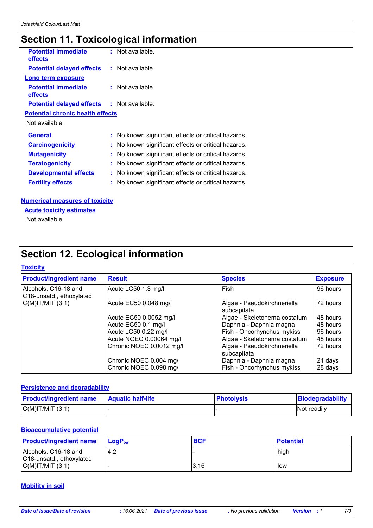# **Section 11. Toxicological information**

| <b>Potential immediate</b><br>effects             | : Not available.                                    |
|---------------------------------------------------|-----------------------------------------------------|
| <b>Potential delayed effects : Not available.</b> |                                                     |
| <b>Long term exposure</b>                         |                                                     |
| <b>Potential immediate</b><br>effects             | : Not available.                                    |
| <b>Potential delayed effects : Not available.</b> |                                                     |
| <b>Potential chronic health effects</b>           |                                                     |
| Not available.                                    |                                                     |
| <b>General</b>                                    | : No known significant effects or critical hazards. |
| <b>Carcinogenicity</b>                            | : No known significant effects or critical hazards. |
| <b>Mutagenicity</b>                               | : No known significant effects or critical hazards. |
| <b>Teratogenicity</b>                             | : No known significant effects or critical hazards. |
| <b>Developmental effects</b>                      | No known significant effects or critical hazards.   |
| <b>Fertility effects</b>                          | : No known significant effects or critical hazards. |
|                                                   |                                                     |

#### **Numerical measures of toxicity**

**Acute toxicity estimates**

Not available.

# **Section 12. Ecological information**

#### **Toxicity**

| <b>Product/ingredient name</b>                   | <b>Result</b>            | <b>Species</b>                             | <b>Exposure</b> |
|--------------------------------------------------|--------------------------|--------------------------------------------|-----------------|
| Alcohols, C16-18 and<br>C18-unsatd., ethoxylated | Acute LC50 1.3 mg/l      | Fish                                       | 96 hours        |
| $C(M)$ IT/MIT $(3:1)$                            | Acute EC50 0.048 mg/l    | Algae - Pseudokirchneriella<br>subcapitata | 72 hours        |
|                                                  | Acute EC50 0.0052 mg/l   | Algae - Skeletonema costatum               | 48 hours        |
|                                                  | Acute EC50 0.1 mg/l      | Daphnia - Daphnia magna                    | 48 hours        |
|                                                  | Acute LC50 0.22 mg/l     | Fish - Oncorhynchus mykiss                 | 96 hours        |
|                                                  | Acute NOEC 0.00064 mg/l  | Algae - Skeletonema costatum               | 48 hours        |
|                                                  | Chronic NOEC 0.0012 mg/l | Algae - Pseudokirchneriella<br>subcapitata | 72 hours        |
|                                                  | Chronic NOEC 0.004 mg/l  | Daphnia - Daphnia magna                    | 21 days         |
|                                                  | Chronic NOEC 0.098 mg/l  | Fish - Oncorhynchus mykiss                 | 28 days         |

#### **Persistence and degradability**

| <b>Product/ingredient name</b> | <b>Aquatic half-life</b> | <b>Photolysis</b> | Biodegradability |
|--------------------------------|--------------------------|-------------------|------------------|
| C(M) T/MIT (3:1)               |                          |                   | Not readily      |

#### **Bioaccumulative potential**

| <b>Product/ingredient name</b>                   | <b>LogP</b> <sub>ow</sub> | <b>BCF</b> | <b>Potential</b> |
|--------------------------------------------------|---------------------------|------------|------------------|
| Alcohols, C16-18 and<br>C18-unsatd., ethoxylated | 4.2                       |            | high             |
| $C(M)$ IT/MIT $(3:1)$                            |                           | 3.16       | low              |

#### **Mobility in soil**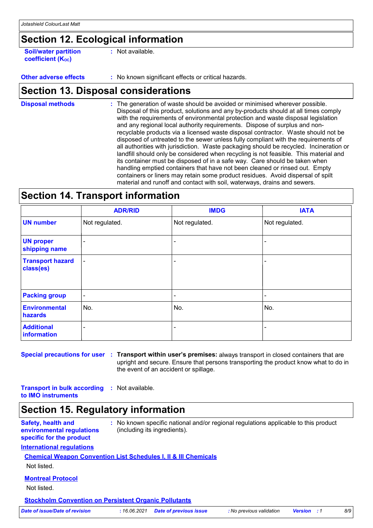### **Section 12. Ecological information**

**Soil/water partition coefficient (K**<sub>oc</sub>)

**:** Not available.

**Other adverse effects** : No known significant effects or critical hazards.

### **Section 13. Disposal considerations**

The generation of waste should be avoided or minimised wherever possible. Disposal of this product, solutions and any by-products should at all times comply with the requirements of environmental protection and waste disposal legislation and any regional local authority requirements. Dispose of surplus and nonrecyclable products via a licensed waste disposal contractor. Waste should not be disposed of untreated to the sewer unless fully compliant with the requirements of all authorities with jurisdiction. Waste packaging should be recycled. Incineration or landfill should only be considered when recycling is not feasible. This material and its container must be disposed of in a safe way. Care should be taken when handling emptied containers that have not been cleaned or rinsed out. Empty containers or liners may retain some product residues. Avoid dispersal of spilt material and runoff and contact with soil, waterways, drains and sewers. **Disposal methods :**

### **Section 14. Transport information**

|                                      | <b>ADR/RID</b> | <b>IMDG</b>              | <b>IATA</b>              |
|--------------------------------------|----------------|--------------------------|--------------------------|
| <b>UN number</b>                     | Not regulated. | Not regulated.           | Not regulated.           |
| <b>UN proper</b><br>shipping name    | ٠              |                          |                          |
| <b>Transport hazard</b><br>class(es) | $\blacksquare$ |                          |                          |
| <b>Packing group</b>                 | $\sim$         | $\overline{\phantom{a}}$ | $\overline{\phantom{a}}$ |
| <b>Environmental</b><br>hazards      | No.            | No.                      | No.                      |
| <b>Additional</b><br>information     |                |                          |                          |

**Special precautions for user Transport within user's premises:** always transport in closed containers that are **:** upright and secure. Ensure that persons transporting the product know what to do in the event of an accident or spillage.

**Transport in bulk according :** Not available. **to IMO instruments**

### **Section 15. Regulatory information**

**Safety, health and environmental regulations specific for the product :** No known specific national and/or regional regulations applicable to this product (including its ingredients).

#### **International regulations**

#### **Chemical Weapon Convention List Schedules I, II & III Chemicals**

Not listed.

#### **Montreal Protocol**

Not listed.

**Stockholm Convention on Persistent Organic Pollutants**